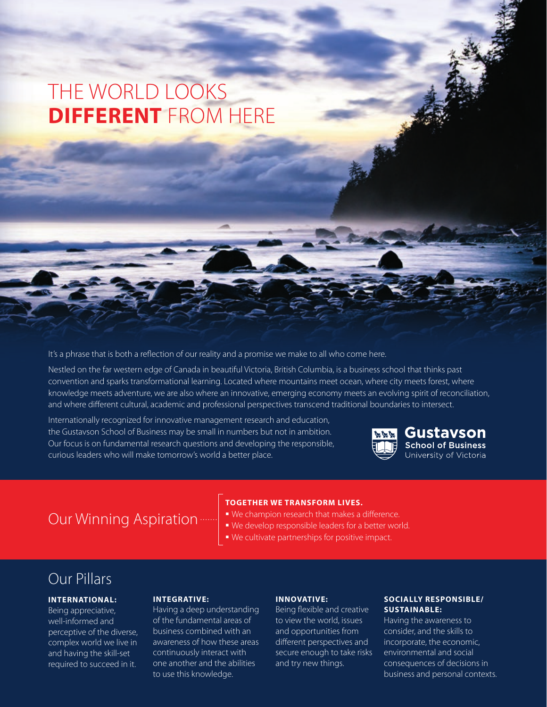# THE WORLD LOOKS **DIFFERENT** FROM HERE

It's a phrase that is both a reflection of our reality and a promise we make to all who come here.

Nestled on the far western edge of Canada in beautiful Victoria, British Columbia, is a business school that thinks past convention and sparks transformational learning. Located where mountains meet ocean, where city meets forest, where knowledge meets adventure, we are also where an innovative, emerging economy meets an evolving spirit of reconciliation, and where different cultural, academic and professional perspectives transcend traditional boundaries to intersect.

Internationally recognized for innovative management research and education, the Gustavson School of Business may be small in numbers but not in ambition. Our focus is on fundamental research questions and developing the responsible, curious leaders who will make tomorrow's world a better place.



#### Gustavson **School of Business** University of Victoria

# Our Winning Aspiration

#### **TOGETHER WE TRANSFORM LIVES.**

- We champion research that makes a difference.
- We develop responsible leaders for a better world.
- We cultivate partnerships for positive impact.

# Our Pillars

### **INTERNATIONAL:**

Being appreciative, well-informed and perceptive of the diverse, complex world we live in and having the skill-set required to succeed in it.

#### **INTEGRATIVE:**

Having a deep understanding of the fundamental areas of business combined with an awareness of how these areas continuously interact with one another and the abilities to use this knowledge.

#### **INNOVATIVE:**

Being flexible and creative to view the world, issues and opportunities from different perspectives and secure enough to take risks and try new things.

#### **SOCIALLY RESPONSIBLE/ SUSTAINABLE:**

Having the awareness to consider, and the skills to incorporate, the economic, environmental and social consequences of decisions in business and personal contexts.